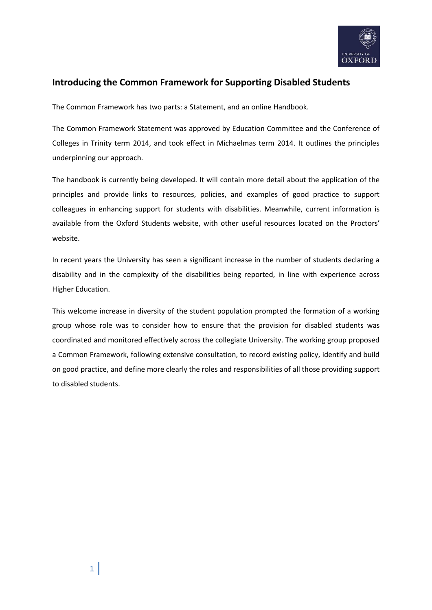

# **Introducing the Common Framework for Supporting Disabled Students**

The Common Framework has two parts: a Statement, and an online Handbook.

The Common Framework Statement was approved by Education Committee and the Conference of Colleges in Trinity term 2014, and took effect in Michaelmas term 2014. It outlines the principles underpinning our approach.

The handbook is currently being developed. It will contain more detail about the application of the principles and provide links to resources, policies, and examples of good practice to support colleagues in enhancing support for students with disabilities. Meanwhile, current information is available from the Oxford Students website, with other useful resources located on the Proctors' website.

In recent years the University has seen a significant increase in the number of students declaring a disability and in the complexity of the disabilities being reported, in line with experience across Higher Education.

This welcome increase in diversity of the student population prompted the formation of a working group whose role was to consider how to ensure that the provision for disabled students was coordinated and monitored effectively across the collegiate University. The working group proposed a Common Framework, following extensive consultation, to record existing policy, identify and build on good practice, and define more clearly the roles and responsibilities of all those providing support to disabled students.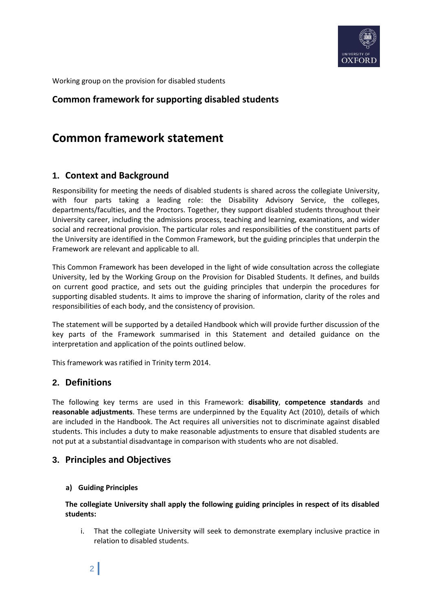

Working group on the provision for disabled students

# **Common framework for supporting disabled students**

# **Common framework statement**

# **1. Context and Background**

Responsibility for meeting the needs of disabled students is shared across the collegiate University, with four parts taking a leading role: the Disability Advisory Service, the colleges, departments/faculties, and the Proctors. Together, they support disabled students throughout their University career, including the admissions process, teaching and learning, examinations, and wider social and recreational provision. The particular roles and responsibilities of the constituent parts of the University are identified in the Common Framework, but the guiding principles that underpin the Framework are relevant and applicable to all.

This Common Framework has been developed in the light of wide consultation across the collegiate University, led by the Working Group on the Provision for Disabled Students. It defines, and builds on current good practice, and sets out the guiding principles that underpin the procedures for supporting disabled students. It aims to improve the sharing of information, clarity of the roles and responsibilities of each body, and the consistency of provision.

The statement will be supported by a detailed Handbook which will provide further discussion of the key parts of the Framework summarised in this Statement and detailed guidance on the interpretation and application of the points outlined below.

This framework was ratified in Trinity term 2014.

## **2. Definitions**

The following key terms are used in this Framework: **disability**, **competence standards** and **reasonable adjustments**. These terms are underpinned by the Equality Act (2010), details of which are included in the Handbook. The Act requires all universities not to discriminate against disabled students. This includes a duty to make reasonable adjustments to ensure that disabled students are not put at a substantial disadvantage in comparison with students who are not disabled.

## **3. Principles and Objectives**

#### **a) Guiding Principles**

**The collegiate University shall apply the following guiding principles in respect of its disabled students:** 

i. That the collegiate University will seek to demonstrate exemplary inclusive practice in relation to disabled students.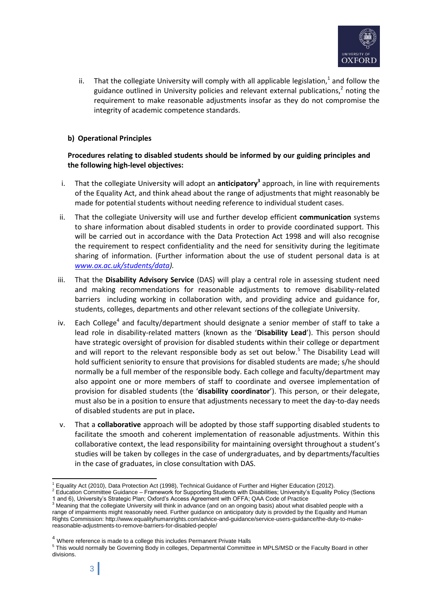

ii. That the collegiate University will comply with all applicable legislation,<sup>1</sup> and follow the guidance outlined in University policies and relevant external publications,<sup>2</sup> noting the requirement to make reasonable adjustments insofar as they do not compromise the integrity of academic competence standards.

#### **b) Operational Principles**

#### **Procedures relating to disabled students should be informed by our guiding principles and the following high-level objectives:**

- i. That the collegiate University will adopt an **anticipatory<sup>3</sup> approach, in line with requirements** of the Equality Act, and think ahead about the range of adjustments that might reasonably be made for potential students without needing reference to individual student cases.
- ii. That the collegiate University will use and further develop efficient **communication** systems to share information about disabled students in order to provide coordinated support. This will be carried out in accordance with the Data Protection Act 1998 and will also recognise the requirement to respect confidentiality and the need for sensitivity during the legitimate sharing of information. (Further information about the use of student personal data is at *[www.ox.ac.uk/students/data\)](http://www.ox.ac.uk/students/data).*
- iii. That the **Disability Advisory Service** (DAS) will play a central role in assessing student need and making recommendations for reasonable adjustments to remove disability-related barriers including working in collaboration with, and providing advice and guidance for, students, colleges, departments and other relevant sections of the collegiate University.
- iv. Each College<sup>4</sup> and faculty/department should designate a senior member of staff to take a lead role in disability-related matters (known as the '**Disability Lead**'). This person should have strategic oversight of provision for disabled students within their college or department and will report to the relevant responsible body as set out below.<sup>5</sup> The Disability Lead will hold sufficient seniority to ensure that provisions for disabled students are made; s/he should normally be a full member of the responsible body. Each college and faculty/department may also appoint one or more members of staff to coordinate and oversee implementation of provision for disabled students (the '**disability coordinator**'). This person, or their delegate, must also be in a position to ensure that adjustments necessary to meet the day-to-day needs of disabled students are put in place**.**
- v. That a **collaborative** approach will be adopted by those staff supporting disabled students to facilitate the smooth and coherent implementation of reasonable adjustments. Within this collaborative context, the lead responsibility for maintaining oversight throughout a student's studies will be taken by colleges in the case of undergraduates, and by departments/faculties in the case of graduates, in close consultation with DAS.

<sup>&</sup>lt;sup>1</sup> Equality Act (2010), Data Protection Act (1998), Technical Guidance of Further and Higher Education (2012).

<sup>2</sup> Education Committee Guidance – Framework for Supporting Students with Disabilities; University's Equality Policy (Sections 1 and 6), University's Strategic Plan; Oxford's Access Agreement with OFFA; QAA Code of Practice

<sup>&</sup>lt;sup>3</sup> Meaning that the collegiate University will think in advance (and on an ongoing basis) about what disabled people with a range of impairments might reasonably need. Further guidance on anticipatory duty is provided by the Equality and Human Rights Commission: http://www.equalityhumanrights.com/advice-and-guidance/service-users-guidance/the-duty-to-makereasonable-adjustments-to-remove-barriers-for-disabled-people/

<sup>&</sup>lt;sup>4</sup> Where reference is made to a college this includes Permanent Private Halls

<sup>&</sup>lt;sup>5</sup> This would normally be Governing Body in colleges, Departmental Committee in MPLS/MSD or the Faculty Board in other divisions.